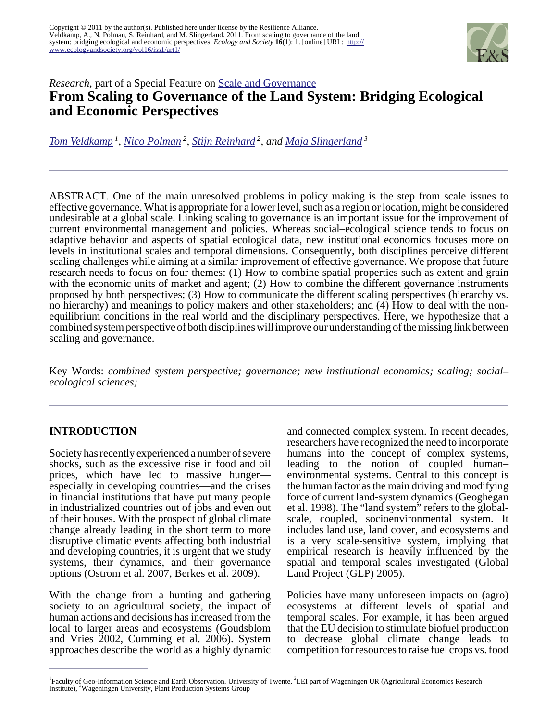

# *Research*, part of a Special Feature on [Scale and Governance](http://www.ecologyandsociety.org/viewissue.php?sf=57) **From Scaling to Governance of the Land System: Bridging Ecological and Economic Perspectives**

*[Tom Veldkamp](mailto:veldkamp@itc.nl)<sup>1</sup> , [Nico Polman](mailto:Nico.Polman@wur.nl)<sup>2</sup> , [Stijn Reinhard](mailto:Stijn.Reinhard@wur.nl)<sup>2</sup>, and [Maja Slingerland](mailto:Maja.Slingerland@wur.nl)<sup>3</sup>*

ABSTRACT. One of the main unresolved problems in policy making is the step from scale issues to effective governance. What is appropriate for a lower level, such as a region or location, might be considered undesirable at a global scale. Linking scaling to governance is an important issue for the improvement of current environmental management and policies. Whereas social–ecological science tends to focus on adaptive behavior and aspects of spatial ecological data, new institutional economics focuses more on levels in institutional scales and temporal dimensions. Consequently, both disciplines perceive different scaling challenges while aiming at a similar improvement of effective governance. We propose that future research needs to focus on four themes: (1) How to combine spatial properties such as extent and grain with the economic units of market and agent; (2) How to combine the different governance instruments proposed by both perspectives; (3) How to communicate the different scaling perspectives (hierarchy vs. no hierarchy) and meanings to policy makers and other stakeholders; and (4) How to deal with the nonequilibrium conditions in the real world and the disciplinary perspectives. Here, we hypothesize that a combined system perspective of both disciplines will improve our understanding of the missing link between scaling and governance.

Key Words: *combined system perspective; governance; new institutional economics; scaling; social– ecological sciences;*

# **INTRODUCTION**

Society has recently experienced a number of severe shocks, such as the excessive rise in food and oil prices, which have led to massive hunger especially in developing countries—and the crises in financial institutions that have put many people in industrialized countries out of jobs and even out of their houses. With the prospect of global climate change already leading in the short term to more disruptive climatic events affecting both industrial and developing countries, it is urgent that we study systems, their dynamics, and their governance options (Ostrom et al. 2007, Berkes et al. 2009).

With the change from a hunting and gathering society to an agricultural society, the impact of human actions and decisions has increased from the local to larger areas and ecosystems (Goudsblom and Vries 2002, Cumming et al. 2006). System approaches describe the world as a highly dynamic

and connected complex system. In recent decades, researchers have recognized the need to incorporate humans into the concept of complex systems, leading to the notion of coupled human– environmental systems. Central to this concept is the human factor as the main driving and modifying force of current land-system dynamics (Geoghegan et al. 1998). The "land system" refers to the globalscale, coupled, socioenvironmental system. It includes land use, land cover, and ecosystems and is a very scale-sensitive system, implying that empirical research is heavily influenced by the spatial and temporal scales investigated (Global Land Project (GLP) 2005).

Policies have many unforeseen impacts on (agro) ecosystems at different levels of spatial and temporal scales. For example, it has been argued that the EU decision to stimulate biofuel production to decrease global climate change leads to competition for resources to raise fuel crops vs. food

<sup>&</sup>lt;sup>1</sup> Faculty of Geo-Information Science and Earth Observation. University of Twente, <sup>2</sup>LEI part of Wageningen UR (Agricultural Economics Research Institute), <sup>3</sup>Wageningen University, Plant Production Systems Group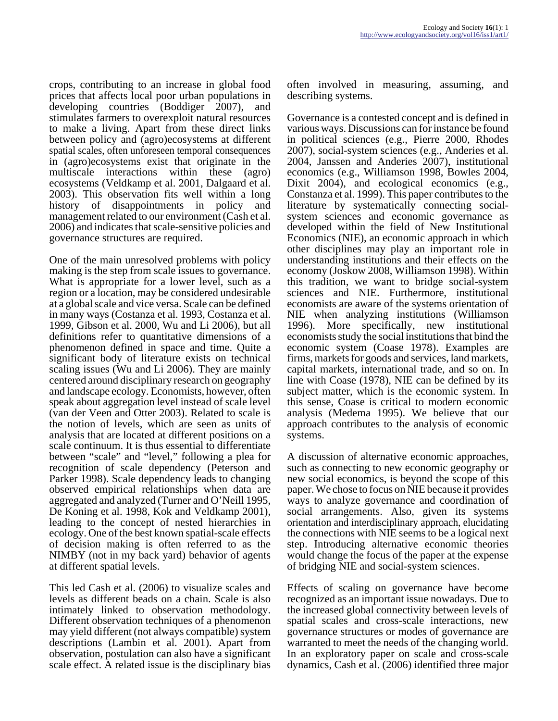crops, contributing to an increase in global food prices that affects local poor urban populations in developing countries (Boddiger 2007), and stimulates farmers to overexploit natural resources to make a living. Apart from these direct links between policy and (agro)ecosystems at different spatial scales, often unforeseen temporal consequences in (agro)ecosystems exist that originate in the multiscale interactions within these (agro) ecosystems (Veldkamp et al. 2001, Dalgaard et al. 2003). This observation fits well within a long history of disappointments in policy and management related to our environment (Cash et al. 2006) and indicates that scale-sensitive policies and governance structures are required.

One of the main unresolved problems with policy making is the step from scale issues to governance. What is appropriate for a lower level, such as a region or a location, may be considered undesirable at a global scale and vice versa. Scale can be defined in many ways (Costanza et al. 1993, Costanza et al. 1999, Gibson et al. 2000, Wu and Li 2006), but all definitions refer to quantitative dimensions of a phenomenon defined in space and time. Quite a significant body of literature exists on technical scaling issues (Wu and Li 2006). They are mainly centered around disciplinary research on geography and landscape ecology. Economists, however, often speak about aggregation level instead of scale level (van der Veen and Otter 2003). Related to scale is the notion of levels, which are seen as units of analysis that are located at different positions on a scale continuum. It is thus essential to differentiate between "scale" and "level," following a plea for recognition of scale dependency (Peterson and Parker 1998). Scale dependency leads to changing observed empirical relationships when data are aggregated and analyzed (Turner and O'Neill 1995, De Koning et al. 1998, Kok and Veldkamp 2001), leading to the concept of nested hierarchies in ecology. One of the best known spatial-scale effects of decision making is often referred to as the NIMBY (not in my back yard) behavior of agents at different spatial levels.

This led Cash et al. (2006) to visualize scales and levels as different beads on a chain. Scale is also intimately linked to observation methodology. Different observation techniques of a phenomenon may yield different (not always compatible) system descriptions (Lambin et al. 2001). Apart from observation, postulation can also have a significant scale effect. A related issue is the disciplinary bias

often involved in measuring, assuming, and describing systems.

Governance is a contested concept and is defined in various ways. Discussions can for instance be found in political sciences (e.g., Pierre 2000, Rhodes 2007), social-system sciences (e.g., Anderies et al. 2004, Janssen and Anderies 2007), institutional economics (e.g., Williamson 1998, Bowles 2004, Dixit 2004), and ecological economics (e.g., Constanza et al. 1999). This paper contributes to the literature by systematically connecting socialsystem sciences and economic governance as developed within the field of New Institutional Economics (NIE), an economic approach in which other disciplines may play an important role in understanding institutions and their effects on the economy (Joskow 2008, Williamson 1998). Within this tradition, we want to bridge social-system sciences and NIE. Furthermore, institutional economists are aware of the systems orientation of NIE when analyzing institutions (Williamson 1996). More specifically, new institutional economists study the social institutions that bind the economic system (Coase 1978). Examples are firms, markets for goods and services, land markets, capital markets, international trade, and so on. In line with Coase (1978), NIE can be defined by its subject matter, which is the economic system. In this sense, Coase is critical to modern economic analysis (Medema 1995). We believe that our approach contributes to the analysis of economic systems.

A discussion of alternative economic approaches, such as connecting to new economic geography or new social economics, is beyond the scope of this paper. We chose to focus on NIE because it provides ways to analyze governance and coordination of social arrangements. Also, given its systems orientation and interdisciplinary approach, elucidating the connections with NIE seems to be a logical next step. Introducing alternative economic theories would change the focus of the paper at the expense of bridging NIE and social-system sciences.

Effects of scaling on governance have become recognized as an important issue nowadays. Due to the increased global connectivity between levels of spatial scales and cross-scale interactions, new governance structures or modes of governance are warranted to meet the needs of the changing world. In an exploratory paper on scale and cross-scale dynamics, Cash et al. (2006) identified three major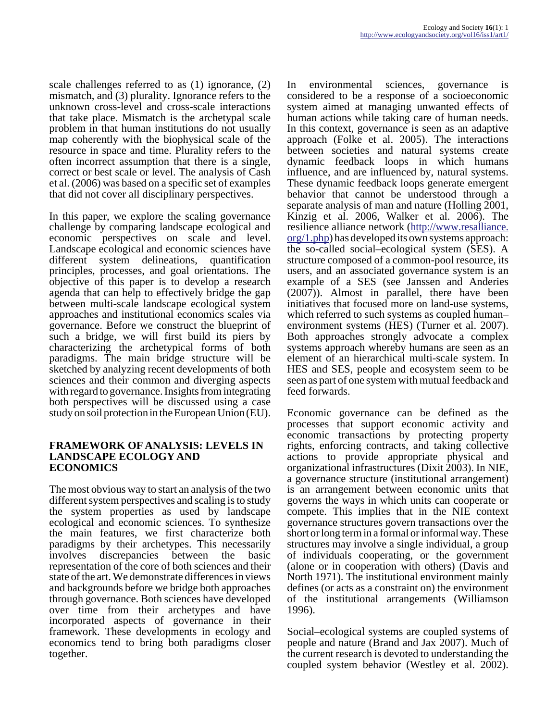scale challenges referred to as (1) ignorance, (2) mismatch, and (3) plurality. Ignorance refers to the unknown cross-level and cross-scale interactions that take place. Mismatch is the archetypal scale problem in that human institutions do not usually map coherently with the biophysical scale of the resource in space and time. Plurality refers to the often incorrect assumption that there is a single, correct or best scale or level. The analysis of Cash et al. (2006) was based on a specific set of examples that did not cover all disciplinary perspectives.

In this paper, we explore the scaling governance challenge by comparing landscape ecological and economic perspectives on scale and level. Landscape ecological and economic sciences have different system delineations, quantification principles, processes, and goal orientations. The objective of this paper is to develop a research agenda that can help to effectively bridge the gap between multi-scale landscape ecological system approaches and institutional economics scales via governance. Before we construct the blueprint of such a bridge, we will first build its piers by characterizing the archetypical forms of both paradigms. The main bridge structure will be sketched by analyzing recent developments of both sciences and their common and diverging aspects with regard to governance. Insights from integrating both perspectives will be discussed using a case study on soil protection in the European Union (EU).

#### **FRAMEWORK OF ANALYSIS: LEVELS IN LANDSCAPE ECOLOGY AND ECONOMICS**

The most obvious way to start an analysis of the two different system perspectives and scaling is to study the system properties as used by landscape ecological and economic sciences. To synthesize the main features, we first characterize both paradigms by their archetypes. This necessarily involves discrepancies between the basic representation of the core of both sciences and their state of the art. We demonstrate differences in views and backgrounds before we bridge both approaches through governance. Both sciences have developed over time from their archetypes and have incorporated aspects of governance in their framework. These developments in ecology and economics tend to bring both paradigms closer together.

In environmental sciences, governance is considered to be a response of a socioeconomic system aimed at managing unwanted effects of human actions while taking care of human needs. In this context, governance is seen as an adaptive approach (Folke et al. 2005). The interactions between societies and natural systems create dynamic feedback loops in which humans influence, and are influenced by, natural systems. These dynamic feedback loops generate emergent behavior that cannot be understood through a separate analysis of man and nature (Holling 2001, Kinzig et al. 2006, Walker et al. 2006). The resilience alliance network ([http://www.resalliance.](http://www.resalliance.org/1.php) [org/1.php](http://www.resalliance.org/1.php)) has developed its own systems approach: the so-called social–ecological system (SES). A structure composed of a common-pool resource, its users, and an associated governance system is an example of a SES (see Janssen and Anderies (2007)). Almost in parallel, there have been initiatives that focused more on land-use systems, which referred to such systems as coupled human– environment systems (HES) (Turner et al. 2007). Both approaches strongly advocate a complex systems approach whereby humans are seen as an element of an hierarchical multi-scale system. In HES and SES, people and ecosystem seem to be seen as part of one system with mutual feedback and feed forwards.

Economic governance can be defined as the processes that support economic activity and economic transactions by protecting property rights, enforcing contracts, and taking collective actions to provide appropriate physical and organizational infrastructures (Dixit 2003). In NIE, a governance structure (institutional arrangement) is an arrangement between economic units that governs the ways in which units can cooperate or compete. This implies that in the NIE context governance structures govern transactions over the short or long term in a formal or informal way. These structures may involve a single individual, a group of individuals cooperating, or the government (alone or in cooperation with others) (Davis and North 1971). The institutional environment mainly defines (or acts as a constraint on) the environment of the institutional arrangements (Williamson 1996).

Social–ecological systems are coupled systems of people and nature (Brand and Jax 2007). Much of the current research is devoted to understanding the coupled system behavior (Westley et al. 2002).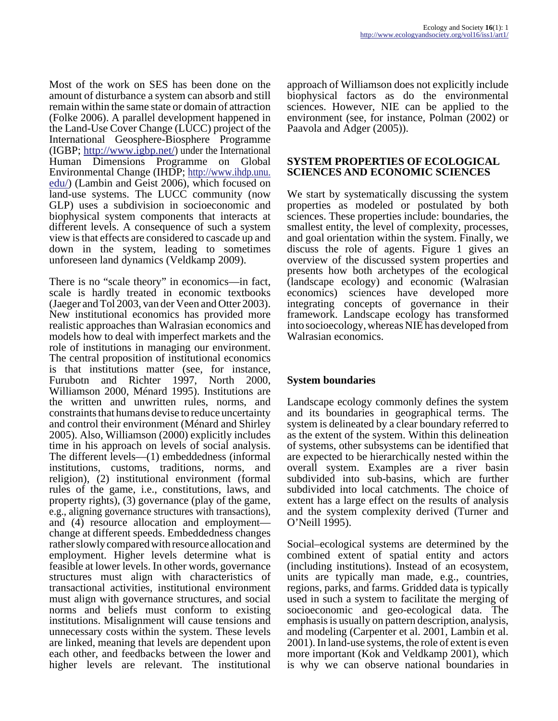Most of the work on SES has been done on the amount of disturbance a system can absorb and still remain within the same state or domain of attraction (Folke 2006). A parallel development happened in the Land-Use Cover Change (LUCC) project of the International Geosphere-Biosphere Programme (IGBP; [http://www.igbp.net/\)](http://www.igbp.net/) under the International Human Dimensions Programme on Global Environmental Change (IHDP; [http://www.ihdp.unu.](http://www.ihdp.unu.edu/) [edu/\)](http://www.ihdp.unu.edu/) (Lambin and Geist 2006), which focused on land-use systems. The LUCC community (now GLP) uses a subdivision in socioeconomic and biophysical system components that interacts at different levels. A consequence of such a system view is that effects are considered to cascade up and down in the system, leading to sometimes unforeseen land dynamics (Veldkamp 2009).

There is no "scale theory" in economics—in fact, scale is hardly treated in economic textbooks (Jaeger and Tol 2003, van der Veen and Otter 2003). New institutional economics has provided more realistic approaches than Walrasian economics and models how to deal with imperfect markets and the role of institutions in managing our environment. The central proposition of institutional economics is that institutions matter (see, for instance, Furubotn and Richter 1997, North 2000, Williamson 2000, Ménard 1995). Institutions are the written and unwritten rules, norms, and constraints that humans devise to reduce uncertainty and control their environment (Ménard and Shirley 2005). Also, Williamson (2000) explicitly includes time in his approach on levels of social analysis. The different levels—(1) embeddedness (informal institutions, customs, traditions, norms, and religion), (2) institutional environment (formal rules of the game, i.e., constitutions, laws, and property rights), (3) governance (play of the game, e.g., aligning governance structures with transactions), and (4) resource allocation and employment change at different speeds. Embeddedness changes rather slowly compared with resource allocation and employment. Higher levels determine what is feasible at lower levels. In other words, governance structures must align with characteristics of transactional activities, institutional environment must align with governance structures, and social norms and beliefs must conform to existing institutions. Misalignment will cause tensions and unnecessary costs within the system. These levels are linked, meaning that levels are dependent upon each other, and feedbacks between the lower and higher levels are relevant. The institutional

approach of Williamson does not explicitly include biophysical factors as do the environmental sciences. However, NIE can be applied to the environment (see, for instance, Polman (2002) or Paavola and Adger (2005)).

#### **SYSTEM PROPERTIES OF ECOLOGICAL SCIENCES AND ECONOMIC SCIENCES**

We start by systematically discussing the system properties as modeled or postulated by both sciences. These properties include: boundaries, the smallest entity, the level of complexity, processes, and goal orientation within the system. Finally, we discuss the role of agents. Figure 1 gives an overview of the discussed system properties and presents how both archetypes of the ecological (landscape ecology) and economic (Walrasian economics) sciences have developed more integrating concepts of governance in their framework. Landscape ecology has transformed into socioecology, whereas NIE has developed from Walrasian economics.

# **System boundaries**

Landscape ecology commonly defines the system and its boundaries in geographical terms. The system is delineated by a clear boundary referred to as the extent of the system. Within this delineation of systems, other subsystems can be identified that are expected to be hierarchically nested within the overall system. Examples are a river basin subdivided into sub-basins, which are further subdivided into local catchments. The choice of extent has a large effect on the results of analysis and the system complexity derived (Turner and O'Neill 1995).

Social–ecological systems are determined by the combined extent of spatial entity and actors (including institutions). Instead of an ecosystem, units are typically man made, e.g., countries, regions, parks, and farms. Gridded data is typically used in such a system to facilitate the merging of socioeconomic and geo-ecological data. The emphasis is usually on pattern description, analysis, and modeling (Carpenter et al. 2001, Lambin et al. 2001). In land-use systems, the role of extent is even more important (Kok and Veldkamp 2001), which is why we can observe national boundaries in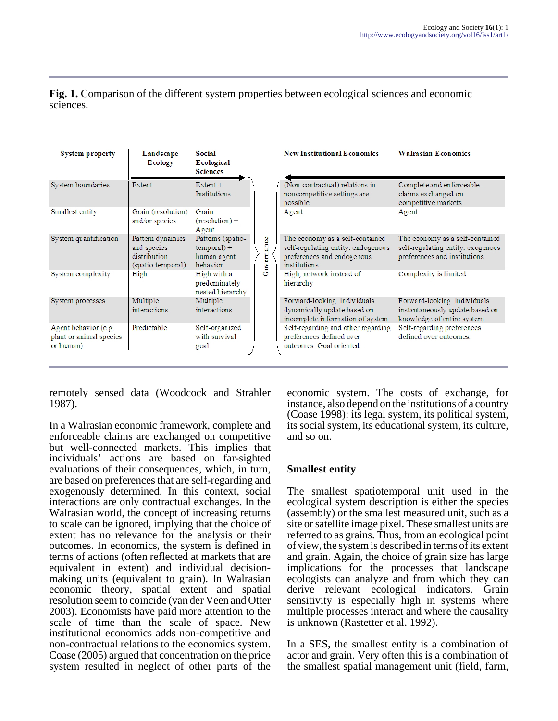| <b>System property</b>                                       | Landscape<br><b>E</b> cology                                         | <b>Social</b><br>Ecological<br><b>Sciences</b>                |            | <b>New Institutional Economics</b>                                                                                  | <b>Walrasian Economics</b>                                                                           |
|--------------------------------------------------------------|----------------------------------------------------------------------|---------------------------------------------------------------|------------|---------------------------------------------------------------------------------------------------------------------|------------------------------------------------------------------------------------------------------|
| System boundaries                                            | Extent                                                               | $Extent +$<br>Institutions                                    | Governance | (Non-contractual) relations in<br>noncompetitive settings are<br>possible                                           | Complete and enforceable<br>claims exchanged on<br>competitive markets                               |
| Smallest entity                                              | Grain (resolution)<br>and/or species                                 | Grain<br>$(resolution) +$<br><b>A</b> gent                    |            | Agent                                                                                                               | Agent                                                                                                |
| System quantification                                        | Pattern dynamics<br>and species<br>distribution<br>(spatio-temporal) | Patterns (spatio-<br>$temporal) +$<br>human agent<br>behavior |            | The economy as a self-contained<br>self-regulating entity: endogenous<br>preferences and endogenous<br>institutions | The economy as a self-contained<br>self-regulating entity: exogenous<br>preferences and institutions |
| System complexity                                            | High                                                                 | High with a<br>predominately<br>nested hierarchy              |            | High, network instead of<br>hierarchy                                                                               | Complexity is limited                                                                                |
| System processes                                             | Multiple<br>interactions                                             | Multiple<br>interactions                                      |            | Forward-looking individuals<br>dynamically update based on<br>incomplete information of system                      | Forward-looking individuals<br>instantaneously update based on<br>knowledge of entire system         |
| Agent behavior (e.g.<br>plant or animal species<br>or human) | Predictable                                                          | Self-organized<br>with survival<br>goal                       |            | Self-regarding and other regarding<br>preferences defined over<br>outcomes. Goal oriented                           | Self-regarding preferences<br>defined over outcomes.                                                 |

**Fig. 1.** Comparison of the different system properties between ecological sciences and economic sciences.

remotely sensed data (Woodcock and Strahler 1987).

In a Walrasian economic framework, complete and enforceable claims are exchanged on competitive but well-connected markets. This implies that individuals' actions are based on far-sighted evaluations of their consequences, which, in turn, are based on preferences that are self-regarding and exogenously determined. In this context, social interactions are only contractual exchanges. In the Walrasian world, the concept of increasing returns to scale can be ignored, implying that the choice of extent has no relevance for the analysis or their outcomes. In economics, the system is defined in terms of actions (often reflected at markets that are equivalent in extent) and individual decisionmaking units (equivalent to grain). In Walrasian economic theory, spatial extent and spatial resolution seem to coincide (van der Veen and Otter 2003). Economists have paid more attention to the scale of time than the scale of space. New institutional economics adds non-competitive and non-contractual relations to the economics system. Coase (2005) argued that concentration on the price system resulted in neglect of other parts of the

economic system. The costs of exchange, for instance, also depend on the institutions of a country (Coase 1998): its legal system, its political system, its social system, its educational system, its culture, and so on.

# **Smallest entity**

The smallest spatiotemporal unit used in the ecological system description is either the species (assembly) or the smallest measured unit, such as a site or satellite image pixel. These smallest units are referred to as grains. Thus, from an ecological point of view, the system is described in terms of its extent and grain. Again, the choice of grain size has large implications for the processes that landscape ecologists can analyze and from which they can derive relevant ecological indicators. Grain sensitivity is especially high in systems where multiple processes interact and where the causality is unknown (Rastetter et al. 1992).

In a SES, the smallest entity is a combination of actor and grain. Very often this is a combination of the smallest spatial management unit (field, farm,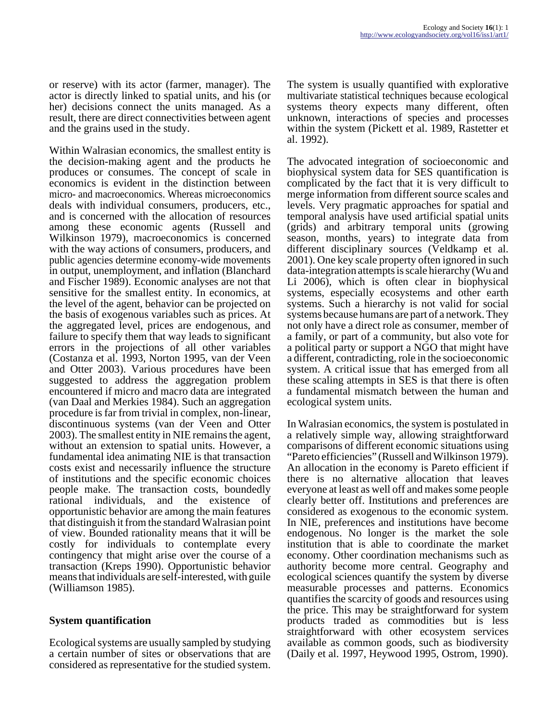or reserve) with its actor (farmer, manager). The actor is directly linked to spatial units, and his (or her) decisions connect the units managed. As a result, there are direct connectivities between agent and the grains used in the study.

Within Walrasian economics, the smallest entity is the decision-making agent and the products he produces or consumes. The concept of scale in economics is evident in the distinction between micro- and macroeconomics. Whereas microeconomics deals with individual consumers, producers, etc., and is concerned with the allocation of resources among these economic agents (Russell and Wilkinson 1979), macroeconomics is concerned with the way actions of consumers, producers, and public agencies determine economy-wide movements in output, unemployment, and inflation (Blanchard and Fischer 1989). Economic analyses are not that sensitive for the smallest entity. In economics, at the level of the agent, behavior can be projected on the basis of exogenous variables such as prices. At the aggregated level, prices are endogenous, and failure to specify them that way leads to significant errors in the projections of all other variables (Costanza et al. 1993, Norton 1995, van der Veen and Otter 2003). Various procedures have been suggested to address the aggregation problem encountered if micro and macro data are integrated (van Daal and Merkies 1984). Such an aggregation procedure is far from trivial in complex, non-linear, discontinuous systems (van der Veen and Otter 2003). The smallest entity in NIE remains the agent, without an extension to spatial units. However, a fundamental idea animating NIE is that transaction costs exist and necessarily influence the structure of institutions and the specific economic choices people make. The transaction costs, boundedly rational individuals, and the existence of opportunistic behavior are among the main features that distinguish it from the standard Walrasian point of view. Bounded rationality means that it will be costly for individuals to contemplate every contingency that might arise over the course of a transaction (Kreps 1990). Opportunistic behavior means that individuals are self-interested, with guile (Williamson 1985).

# **System quantification**

Ecological systems are usually sampled by studying a certain number of sites or observations that are considered as representative for the studied system.

The system is usually quantified with explorative multivariate statistical techniques because ecological systems theory expects many different, often unknown, interactions of species and processes within the system (Pickett et al. 1989, Rastetter et al. 1992).

The advocated integration of socioeconomic and biophysical system data for SES quantification is complicated by the fact that it is very difficult to merge information from different source scales and levels. Very pragmatic approaches for spatial and temporal analysis have used artificial spatial units (grids) and arbitrary temporal units (growing season, months, years) to integrate data from different disciplinary sources (Veldkamp et al. 2001). One key scale property often ignored in such data-integration attempts is scale hierarchy (Wu and Li 2006), which is often clear in biophysical systems, especially ecosystems and other earth systems. Such a hierarchy is not valid for social systems because humans are part of a network. They not only have a direct role as consumer, member of a family, or part of a community, but also vote for a political party or support a NGO that might have a different, contradicting, role in the socioeconomic system. A critical issue that has emerged from all these scaling attempts in SES is that there is often a fundamental mismatch between the human and ecological system units.

In Walrasian economics, the system is postulated in a relatively simple way, allowing straightforward comparisons of different economic situations using "Pareto efficiencies" (Russell and Wilkinson 1979). An allocation in the economy is Pareto efficient if there is no alternative allocation that leaves everyone at least as well off and makes some people clearly better off. Institutions and preferences are considered as exogenous to the economic system. In NIE, preferences and institutions have become endogenous. No longer is the market the sole institution that is able to coordinate the market economy. Other coordination mechanisms such as authority become more central. Geography and ecological sciences quantify the system by diverse measurable processes and patterns. Economics quantifies the scarcity of goods and resources using the price. This may be straightforward for system products traded as commodities but is less straightforward with other ecosystem services available as common goods, such as biodiversity (Daily et al. 1997, Heywood 1995, Ostrom, 1990).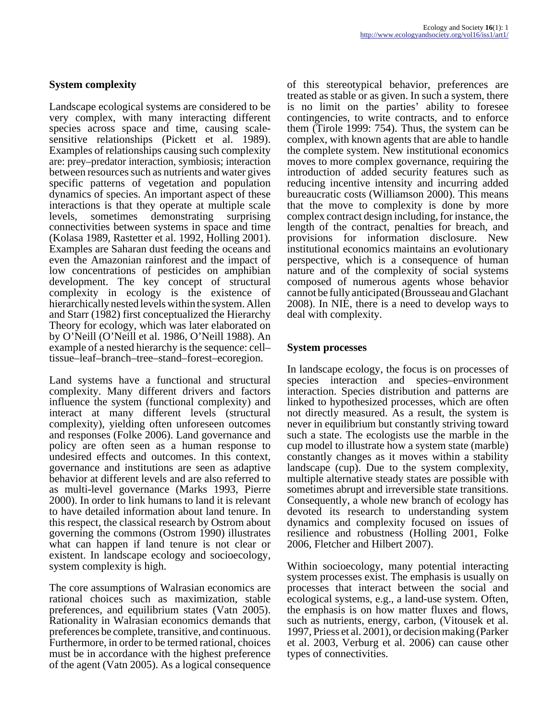# **System complexity**

Landscape ecological systems are considered to be very complex, with many interacting different species across space and time, causing scalesensitive relationships (Pickett et al. 1989). Examples of relationships causing such complexity are: prey–predator interaction, symbiosis; interaction between resources such as nutrients and water gives specific patterns of vegetation and population dynamics of species. An important aspect of these interactions is that they operate at multiple scale levels, sometimes demonstrating surprising connectivities between systems in space and time (Kolasa 1989, Rastetter et al. 1992, Holling 2001). Examples are Saharan dust feeding the oceans and even the Amazonian rainforest and the impact of low concentrations of pesticides on amphibian development. The key concept of structural complexity in ecology is the existence of hierarchically nested levels within the system. Allen and Starr (1982) first conceptualized the Hierarchy Theory for ecology, which was later elaborated on by O'Neill (O'Neill et al. 1986, O'Neill 1988). An example of a nested hierarchy is the sequence: cell– tissue–leaf–branch–tree–stand–forest–ecoregion.

Land systems have a functional and structural complexity. Many different drivers and factors influence the system (functional complexity) and interact at many different levels (structural complexity), yielding often unforeseen outcomes and responses (Folke 2006). Land governance and policy are often seen as a human response to undesired effects and outcomes. In this context, governance and institutions are seen as adaptive behavior at different levels and are also referred to as multi-level governance (Marks 1993, Pierre 2000). In order to link humans to land it is relevant to have detailed information about land tenure. In this respect, the classical research by Ostrom about governing the commons (Ostrom 1990) illustrates what can happen if land tenure is not clear or existent. In landscape ecology and socioecology, system complexity is high.

The core assumptions of Walrasian economics are rational choices such as maximization, stable preferences, and equilibrium states (Vatn 2005). Rationality in Walrasian economics demands that preferences be complete, transitive, and continuous. Furthermore, in order to be termed rational, choices must be in accordance with the highest preference of the agent (Vatn 2005). As a logical consequence

of this stereotypical behavior, preferences are treated as stable or as given. In such a system, there is no limit on the parties' ability to foresee contingencies, to write contracts, and to enforce them (Tirole 1999: 754). Thus, the system can be complex, with known agents that are able to handle the complete system. New institutional economics moves to more complex governance, requiring the introduction of added security features such as reducing incentive intensity and incurring added bureaucratic costs (Williamson 2000). This means that the move to complexity is done by more complex contract design including, for instance, the length of the contract, penalties for breach, and provisions for information disclosure. New institutional economics maintains an evolutionary perspective, which is a consequence of human nature and of the complexity of social systems composed of numerous agents whose behavior cannot be fully anticipated (Brousseau and Glachant 2008). In NIE, there is a need to develop ways to deal with complexity.

#### **System processes**

In landscape ecology, the focus is on processes of species interaction and species–environment interaction. Species distribution and patterns are linked to hypothesized processes, which are often not directly measured. As a result, the system is never in equilibrium but constantly striving toward such a state. The ecologists use the marble in the cup model to illustrate how a system state (marble) constantly changes as it moves within a stability landscape (cup). Due to the system complexity, multiple alternative steady states are possible with sometimes abrupt and irreversible state transitions. Consequently, a whole new branch of ecology has devoted its research to understanding system dynamics and complexity focused on issues of resilience and robustness (Holling 2001, Folke 2006, Fletcher and Hilbert 2007).

Within socioecology, many potential interacting system processes exist. The emphasis is usually on processes that interact between the social and ecological systems, e.g., a land-use system. Often, the emphasis is on how matter fluxes and flows, such as nutrients, energy, carbon, (Vitousek et al. 1997, Priess et al. 2001), or decision making (Parker et al. 2003, Verburg et al. 2006) can cause other types of connectivities.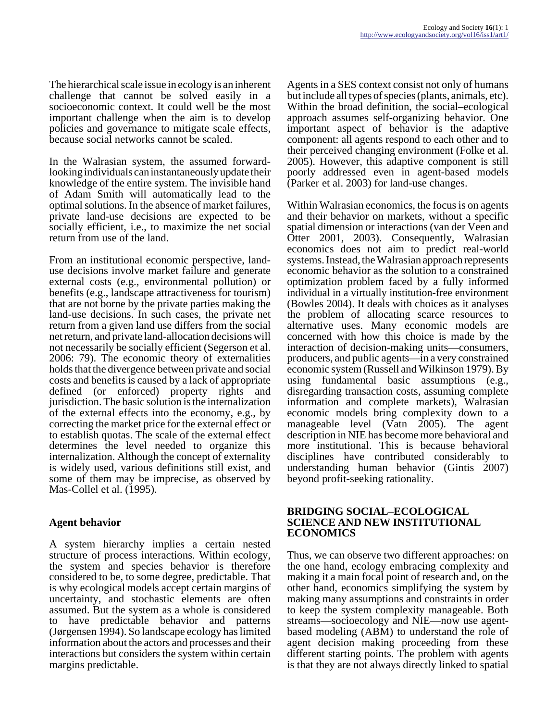The hierarchical scale issue in ecology is an inherent challenge that cannot be solved easily in a socioeconomic context. It could well be the most important challenge when the aim is to develop policies and governance to mitigate scale effects, because social networks cannot be scaled.

In the Walrasian system, the assumed forwardlooking individuals can instantaneously update their knowledge of the entire system. The invisible hand of Adam Smith will automatically lead to the optimal solutions. In the absence of market failures, private land-use decisions are expected to be socially efficient, i.e., to maximize the net social return from use of the land.

From an institutional economic perspective, landuse decisions involve market failure and generate external costs (e.g., environmental pollution) or benefits (e.g., landscape attractiveness for tourism) that are not borne by the private parties making the land-use decisions. In such cases, the private net return from a given land use differs from the social net return, and private land-allocation decisions will not necessarily be socially efficient (Segerson et al. 2006: 79). The economic theory of externalities holds that the divergence between private and social costs and benefits is caused by a lack of appropriate defined (or enforced) property rights and jurisdiction. The basic solution is the internalization of the external effects into the economy, e.g., by correcting the market price for the external effect or to establish quotas. The scale of the external effect determines the level needed to organize this internalization. Although the concept of externality is widely used, various definitions still exist, and some of them may be imprecise, as observed by Mas-Collel et al. (1995).

# **Agent behavior**

A system hierarchy implies a certain nested structure of process interactions. Within ecology, the system and species behavior is therefore considered to be, to some degree, predictable. That is why ecological models accept certain margins of uncertainty, and stochastic elements are often assumed. But the system as a whole is considered to have predictable behavior and patterns (Jørgensen 1994). So landscape ecology has limited information about the actors and processes and their interactions but considers the system within certain margins predictable.

Agents in a SES context consist not only of humans but include all types of species (plants, animals, etc). Within the broad definition, the social–ecological approach assumes self-organizing behavior. One important aspect of behavior is the adaptive component: all agents respond to each other and to their perceived changing environment (Folke et al. 2005). However, this adaptive component is still poorly addressed even in agent-based models (Parker et al. 2003) for land-use changes.

Within Walrasian economics, the focus is on agents and their behavior on markets, without a specific spatial dimension or interactions (van der Veen and Otter 2001, 2003). Consequently, Walrasian economics does not aim to predict real-world systems. Instead, the Walrasian approach represents economic behavior as the solution to a constrained optimization problem faced by a fully informed individual in a virtually institution-free environment (Bowles 2004). It deals with choices as it analyses the problem of allocating scarce resources to alternative uses. Many economic models are concerned with how this choice is made by the interaction of decision-making units—consumers, producers, and public agents—in a very constrained economic system (Russell and Wilkinson 1979). By using fundamental basic assumptions (e.g., disregarding transaction costs, assuming complete information and complete markets), Walrasian economic models bring complexity down to a manageable level (Vatn 2005). The agent description in NIE has become more behavioral and more institutional. This is because behavioral disciplines have contributed considerably to understanding human behavior (Gintis 2007) beyond profit-seeking rationality.

#### **BRIDGING SOCIAL–ECOLOGICAL SCIENCE AND NEW INSTITUTIONAL ECONOMICS**

Thus, we can observe two different approaches: on the one hand, ecology embracing complexity and making it a main focal point of research and, on the other hand, economics simplifying the system by making many assumptions and constraints in order to keep the system complexity manageable. Both streams—socioecology and NIE—now use agentbased modeling (ABM) to understand the role of agent decision making proceeding from these different starting points. The problem with agents is that they are not always directly linked to spatial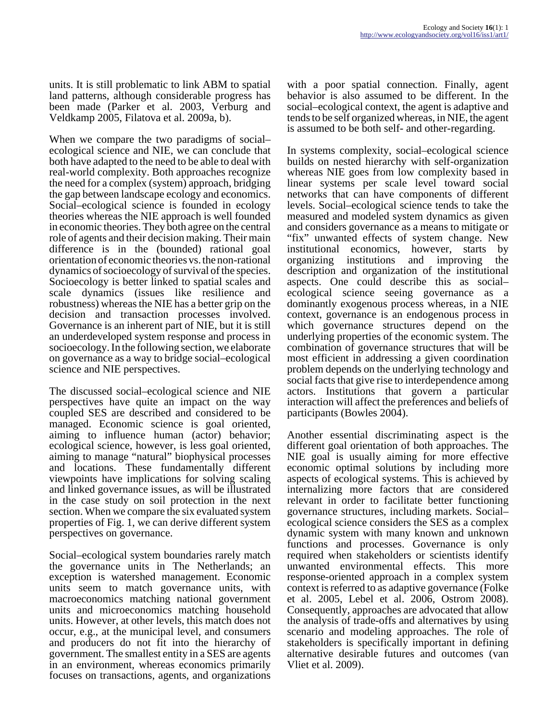units. It is still problematic to link ABM to spatial land patterns, although considerable progress has been made (Parker et al. 2003, Verburg and Veldkamp 2005, Filatova et al. 2009a, b).

When we compare the two paradigms of social– ecological science and NIE, we can conclude that both have adapted to the need to be able to deal with real-world complexity. Both approaches recognize the need for a complex (system) approach, bridging the gap between landscape ecology and economics. Social–ecological science is founded in ecology theories whereas the NIE approach is well founded in economic theories. They both agree on the central role of agents and their decision making. Their main difference is in the (bounded) rational goal orientation of economic theories vs. the non-rational dynamics of socioecology of survival of the species. Socioecology is better linked to spatial scales and scale dynamics (issues like resilience and robustness) whereas the NIE has a better grip on the decision and transaction processes involved. Governance is an inherent part of NIE, but it is still an underdeveloped system response and process in socioecology. In the following section, we elaborate on governance as a way to bridge social–ecological science and NIE perspectives.

The discussed social–ecological science and NIE perspectives have quite an impact on the way coupled SES are described and considered to be managed. Economic science is goal oriented, aiming to influence human (actor) behavior; ecological science, however, is less goal oriented, aiming to manage "natural" biophysical processes and locations. These fundamentally different viewpoints have implications for solving scaling and linked governance issues, as will be illustrated in the case study on soil protection in the next section. When we compare the six evaluated system properties of Fig. 1, we can derive different system perspectives on governance.

Social–ecological system boundaries rarely match the governance units in The Netherlands; an exception is watershed management. Economic units seem to match governance units, with macroeconomics matching national government units and microeconomics matching household units. However, at other levels, this match does not occur, e.g., at the municipal level, and consumers and producers do not fit into the hierarchy of government. The smallest entity in a SES are agents in an environment, whereas economics primarily focuses on transactions, agents, and organizations

with a poor spatial connection. Finally, agent behavior is also assumed to be different. In the social–ecological context, the agent is adaptive and tends to be self organized whereas, in NIE, the agent is assumed to be both self- and other-regarding.

In systems complexity, social–ecological science builds on nested hierarchy with self-organization whereas NIE goes from low complexity based in linear systems per scale level toward social networks that can have components of different levels. Social–ecological science tends to take the measured and modeled system dynamics as given and considers governance as a means to mitigate or "fix" unwanted effects of system change. New institutional economics, however, starts by organizing institutions and improving the description and organization of the institutional aspects. One could describe this as social– ecological science seeing governance as a dominantly exogenous process whereas, in a NIE context, governance is an endogenous process in which governance structures depend on the underlying properties of the economic system. The combination of governance structures that will be most efficient in addressing a given coordination problem depends on the underlying technology and social facts that give rise to interdependence among actors. Institutions that govern a particular interaction will affect the preferences and beliefs of participants (Bowles 2004).

Another essential discriminating aspect is the different goal orientation of both approaches. The NIE goal is usually aiming for more effective economic optimal solutions by including more aspects of ecological systems. This is achieved by internalizing more factors that are considered relevant in order to facilitate better functioning governance structures, including markets. Social– ecological science considers the SES as a complex dynamic system with many known and unknown functions and processes. Governance is only required when stakeholders or scientists identify unwanted environmental effects. This more response-oriented approach in a complex system context is referred to as adaptive governance (Folke et al. 2005, Lebel et al. 2006, Ostrom 2008). Consequently, approaches are advocated that allow the analysis of trade-offs and alternatives by using scenario and modeling approaches. The role of stakeholders is specifically important in defining alternative desirable futures and outcomes (van Vliet et al. 2009).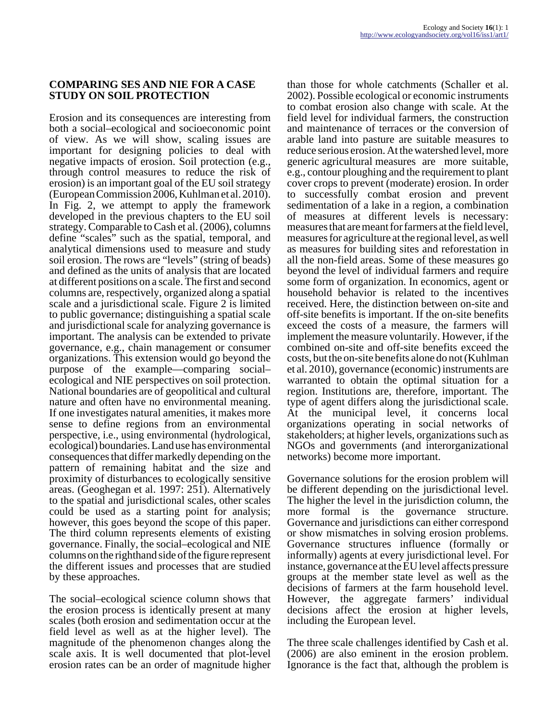#### **COMPARING SES AND NIE FOR A CASE STUDY ON SOIL PROTECTION**

Erosion and its consequences are interesting from both a social–ecological and socioeconomic point of view. As we will show, scaling issues are important for designing policies to deal with negative impacts of erosion. Soil protection (e.g., through control measures to reduce the risk of erosion) is an important goal of the EU soil strategy (European Commission 2006, Kuhlman et al. 2010). In Fig. 2, we attempt to apply the framework developed in the previous chapters to the EU soil strategy. Comparable to Cash et al. (2006), columns define "scales" such as the spatial, temporal, and analytical dimensions used to measure and study soil erosion. The rows are "levels" (string of beads) and defined as the units of analysis that are located at different positions on a scale. The first and second columns are, respectively, organized along a spatial scale and a jurisdictional scale. Figure 2 is limited to public governance; distinguishing a spatial scale and jurisdictional scale for analyzing governance is important. The analysis can be extended to private governance, e.g., chain management or consumer organizations. This extension would go beyond the purpose of the example—comparing social– ecological and NIE perspectives on soil protection. National boundaries are of geopolitical and cultural nature and often have no environmental meaning. If one investigates natural amenities, it makes more sense to define regions from an environmental perspective, i.e., using environmental (hydrological, ecological) boundaries. Land use has environmental consequences that differ markedly depending on the pattern of remaining habitat and the size and proximity of disturbances to ecologically sensitive areas. (Geoghegan et al. 1997: 251). Alternatively to the spatial and jurisdictional scales, other scales could be used as a starting point for analysis; however, this goes beyond the scope of this paper. The third column represents elements of existing governance. Finally, the social–ecological and NIE columns on the righthand side of the figure represent the different issues and processes that are studied by these approaches.

The social–ecological science column shows that the erosion process is identically present at many scales (both erosion and sedimentation occur at the field level as well as at the higher level). The magnitude of the phenomenon changes along the scale axis. It is well documented that plot-level erosion rates can be an order of magnitude higher

than those for whole catchments (Schaller et al. 2002). Possible ecological or economic instruments to combat erosion also change with scale. At the field level for individual farmers, the construction and maintenance of terraces or the conversion of arable land into pasture are suitable measures to reduce serious erosion. At the watershed level, more generic agricultural measures are more suitable, e.g., contour ploughing and the requirement to plant cover crops to prevent (moderate) erosion. In order to successfully combat erosion and prevent sedimentation of a lake in a region, a combination of measures at different levels is necessary: measures that are meant for farmers at the field level, measures for agriculture at the regional level, as well as measures for building sites and reforestation in all the non-field areas. Some of these measures go beyond the level of individual farmers and require some form of organization. In economics, agent or household behavior is related to the incentives received. Here, the distinction between on-site and off-site benefits is important. If the on-site benefits exceed the costs of a measure, the farmers will implement the measure voluntarily. However, if the combined on-site and off-site benefits exceed the costs, but the on-site benefits alone do not (Kuhlman et al. 2010), governance (economic) instruments are warranted to obtain the optimal situation for a region. Institutions are, therefore, important. The type of agent differs along the jurisdictional scale. At the municipal level, it concerns local organizations operating in social networks of stakeholders; at higher levels, organizations such as NGOs and governments (and interorganizational networks) become more important.

Governance solutions for the erosion problem will be different depending on the jurisdictional level. The higher the level in the jurisdiction column, the more formal is the governance structure. Governance and jurisdictions can either correspond or show mismatches in solving erosion problems. Governance structures influence (formally or informally) agents at every jurisdictional level. For instance, governance at the EU level affects pressure groups at the member state level as well as the decisions of farmers at the farm household level. However, the aggregate farmers' individual decisions affect the erosion at higher levels, including the European level.

The three scale challenges identified by Cash et al. (2006) are also eminent in the erosion problem. Ignorance is the fact that, although the problem is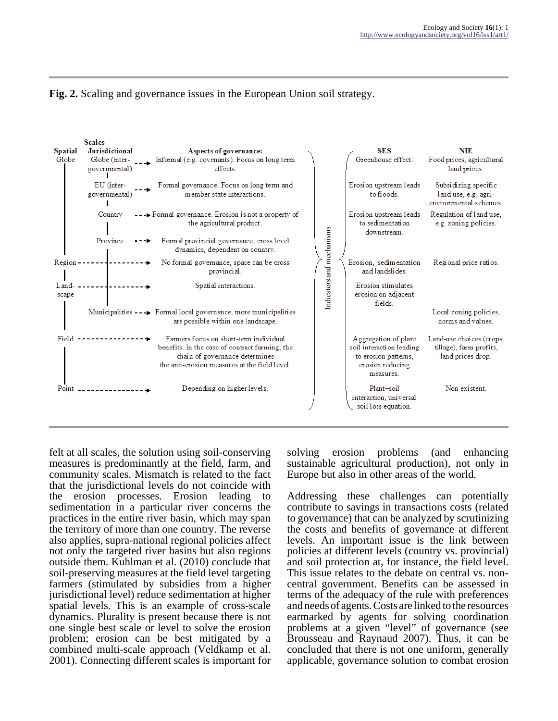



felt at all scales, the solution using soil-conserving measures is predominantly at the field, farm, and community scales. Mismatch is related to the fact that the jurisdictional levels do not coincide with the erosion processes. Erosion leading to sedimentation in a particular river concerns the practices in the entire river basin, which may span the territory of more than one country. The reverse also applies, supra-national regional policies affect not only the targeted river basins but also regions outside them. Kuhlman et al. (2010) conclude that soil-preserving measures at the field level targeting farmers (stimulated by subsidies from a higher jurisdictional level) reduce sedimentation at higher spatial levels. This is an example of cross-scale dynamics. Plurality is present because there is not one single best scale or level to solve the erosion problem; erosion can be best mitigated by a combined multi-scale approach (Veldkamp et al. 2001). Connecting different scales is important for

solving erosion problems (and enhancing sustainable agricultural production), not only in Europe but also in other areas of the world.

Addressing these challenges can potentially contribute to savings in transactions costs (related to governance) that can be analyzed by scrutinizing the costs and benefits of governance at different levels. An important issue is the link between policies at different levels (country vs. provincial) and soil protection at, for instance, the field level. This issue relates to the debate on central vs. noncentral government. Benefits can be assessed in terms of the adequacy of the rule with preferences and needs of agents. Costs are linked to the resources earmarked by agents for solving coordination problems at a given "level" of governance (see Brousseau and Raynaud 2007). Thus, it can be concluded that there is not one uniform, generally applicable, governance solution to combat erosion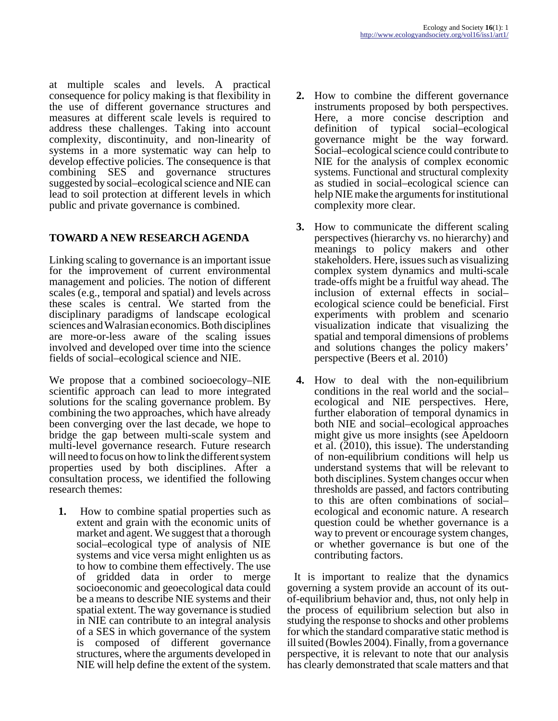at multiple scales and levels. A practical consequence for policy making is that flexibility in the use of different governance structures and measures at different scale levels is required to address these challenges. Taking into account complexity, discontinuity, and non-linearity of systems in a more systematic way can help to develop effective policies. The consequence is that combining SES and governance structures suggested by social–ecological science and NIE can lead to soil protection at different levels in which public and private governance is combined.

# **TOWARD A NEW RESEARCH AGENDA**

Linking scaling to governance is an important issue for the improvement of current environmental management and policies. The notion of different scales (e.g., temporal and spatial) and levels across these scales is central. We started from the disciplinary paradigms of landscape ecological sciences and Walrasian economics. Both disciplines are more-or-less aware of the scaling issues involved and developed over time into the science fields of social–ecological science and NIE.

We propose that a combined socioecology–NIE scientific approach can lead to more integrated solutions for the scaling governance problem. By combining the two approaches, which have already been converging over the last decade, we hope to bridge the gap between multi-scale system and multi-level governance research. Future research will need to focus on how to link the different system properties used by both disciplines. After a consultation process, we identified the following research themes:

**1.** How to combine spatial properties such as extent and grain with the economic units of market and agent. We suggest that a thorough social–ecological type of analysis of NIE systems and vice versa might enlighten us as to how to combine them effectively. The use of gridded data in order to merge socioeconomic and geoecological data could be a means to describe NIE systems and their spatial extent. The way governance is studied in NIE can contribute to an integral analysis of a SES in which governance of the system is composed of different governance structures, where the arguments developed in NIE will help define the extent of the system.

- **2.** How to combine the different governance instruments proposed by both perspectives. Here, a more concise description and definition of typical social–ecological governance might be the way forward. Social–ecological science could contribute to NIE for the analysis of complex economic systems. Functional and structural complexity as studied in social–ecological science can help NIE make the arguments for institutional complexity more clear.
- **3.** How to communicate the different scaling perspectives (hierarchy vs. no hierarchy) and meanings to policy makers and other stakeholders. Here, issues such as visualizing complex system dynamics and multi-scale trade-offs might be a fruitful way ahead. The inclusion of external effects in social– ecological science could be beneficial. First experiments with problem and scenario visualization indicate that visualizing the spatial and temporal dimensions of problems and solutions changes the policy makers' perspective (Beers et al. 2010)
- **4.** How to deal with the non-equilibrium conditions in the real world and the social– ecological and NIE perspectives. Here, further elaboration of temporal dynamics in both NIE and social–ecological approaches might give us more insights (see Apeldoorn et al. (2010), this issue). The understanding of non-equilibrium conditions will help us understand systems that will be relevant to both disciplines. System changes occur when thresholds are passed, and factors contributing to this are often combinations of social– ecological and economic nature. A research question could be whether governance is a way to prevent or encourage system changes, or whether governance is but one of the contributing factors.

 It is important to realize that the dynamics governing a system provide an account of its outof-equilibrium behavior and, thus, not only help in the process of equilibrium selection but also in studying the response to shocks and other problems for which the standard comparative static method is ill suited (Bowles 2004). Finally, from a governance perspective, it is relevant to note that our analysis has clearly demonstrated that scale matters and that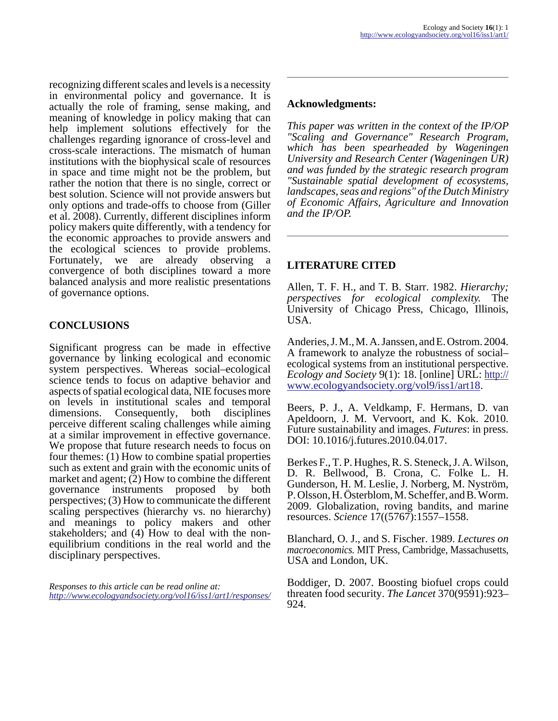recognizing different scales and levels is a necessity in environmental policy and governance. It is actually the role of framing, sense making, and meaning of knowledge in policy making that can help implement solutions effectively for the challenges regarding ignorance of cross-level and cross-scale interactions. The mismatch of human institutions with the biophysical scale of resources in space and time might not be the problem, but rather the notion that there is no single, correct or best solution. Science will not provide answers but only options and trade-offs to choose from (Giller et al. 2008). Currently, different disciplines inform policy makers quite differently, with a tendency for the economic approaches to provide answers and the ecological sciences to provide problems. Fortunately, we are already observing a convergence of both disciplines toward a more balanced analysis and more realistic presentations of governance options.

# **CONCLUSIONS**

Significant progress can be made in effective governance by linking ecological and economic system perspectives. Whereas social–ecological science tends to focus on adaptive behavior and aspects of spatial ecological data, NIE focuses more on levels in institutional scales and temporal dimensions. Consequently, both disciplines perceive different scaling challenges while aiming at a similar improvement in effective governance. We propose that future research needs to focus on four themes: (1) How to combine spatial properties such as extent and grain with the economic units of market and agent; (2) How to combine the different governance instruments proposed by both perspectives; (3) How to communicate the different scaling perspectives (hierarchy vs. no hierarchy) and meanings to policy makers and other stakeholders; and (4) How to deal with the nonequilibrium conditions in the real world and the disciplinary perspectives.

*Responses to this article can be read online at: <http://www.ecologyandsociety.org/vol16/iss1/art1/responses/>*

### **Acknowledgments:**

*This paper was written in the context of the IP/OP "Scaling and Governance" Research Program, which has been spearheaded by Wageningen University and Research Center (Wageningen UR) and was funded by the strategic research program "Sustainable spatial development of ecosystems, landscapes, seas and regions" of the Dutch Ministry of Economic Affairs, Agriculture and Innovation and the IP/OP.*

# **LITERATURE CITED**

Allen, T. F. H., and T. B. Starr. 1982. *Hierarchy; perspectives for ecological complexity.* The University of Chicago Press, Chicago, Illinois, **USA** 

Anderies, J. M., M. A. Janssen, and E. Ostrom. 2004. A framework to analyze the robustness of social– ecological systems from an institutional perspective. *Ecology and Society* 9(1): 18. [online] URL: [http://](http://www.ecologyandsociety.org/vol9/iss1/art18) [www.ecologyandsociety.org/vol9/iss1/art18.](http://www.ecologyandsociety.org/vol9/iss1/art18)

Beers, P. J., A. Veldkamp, F. Hermans, D. van Apeldoorn, J. M. Vervoort, and K. Kok. 2010. Future sustainability and images. *Futures*: in press. DOI: 10.1016/j.futures.2010.04.017.

Berkes F., T. P. Hughes, R. S. Steneck, J. A. Wilson, D. R. Bellwood, B. Crona, C. Folke L. H. Gunderson, H. M. Leslie, J. Norberg, M. Nyström, P. Olsson, H. Österblom, M. Scheffer, and B. Worm. 2009. Globalization, roving bandits, and marine resources. *Science* 17((5767):1557–1558.

Blanchard, O. J., and S. Fischer. 1989. *Lectures on macroeconomics.* MIT Press, Cambridge, Massachusetts, USA and London, UK.

Boddiger, D. 2007. Boosting biofuel crops could threaten food security. *The Lancet* 370(9591):923– 924.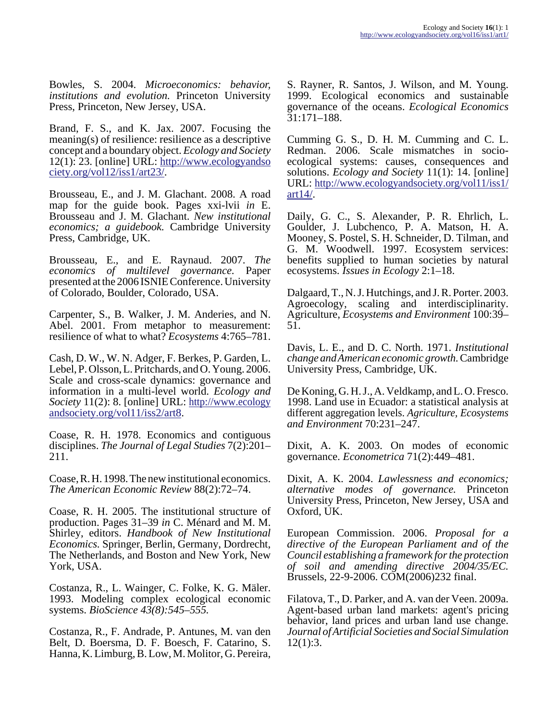Bowles, S. 2004. *Microeconomics: behavior, institutions and evolution.* Princeton University Press, Princeton, New Jersey, USA.

Brand, F. S., and K. Jax. 2007. Focusing the meaning(s) of resilience: resilience as a descriptive concept and a boundary object. *Ecology and Society* 12(1): 23. [online] URL: [http://www.ecologyandso](http://www.ecologyandsociety.org/vol12/iss1/art23/) [ciety.org/vol12/iss1/art23/](http://www.ecologyandsociety.org/vol12/iss1/art23/).

Brousseau, E., and J. M. Glachant. 2008. A road map for the guide book. Pages xxi-lvii *in* E. Brousseau and J. M. Glachant. *New institutional economics; a guidebook.* Cambridge University Press, Cambridge, UK.

Brousseau, E., and E. Raynaud. 2007. *The economics of multilevel governance.* Paper presented at the 2006 ISNIE Conference. University of Colorado, Boulder, Colorado, USA.

Carpenter, S., B. Walker, J. M. Anderies, and N. Abel. 2001. From metaphor to measurement: resilience of what to what? *Ecosystems* 4:765–781.

Cash, D. W., W. N. Adger, F. Berkes, P. Garden, L. Lebel, P. Olsson, L. Pritchards, and O. Young. 2006. Scale and cross-scale dynamics: governance and information in a multi-level world. *Ecology and Society* 11(2): 8. [online] URL: [http://www.ecology](http://www.ecologyandsociety.org/vol11/iss2/art8) [andsociety.org/vol11/iss2/art8.](http://www.ecologyandsociety.org/vol11/iss2/art8)

Coase, R. H. 1978. Economics and contiguous disciplines. *The Journal of Legal Studies* 7(2):201– 211.

Coase, R. H. 1998. The new institutional economics. *The American Economic Review* 88(2):72–74.

Coase, R. H. 2005. The institutional structure of production. Pages 31–39 *in* C. Ménard and M. M. Shirley, editors. *Handbook of New Institutional Economics.* Springer, Berlin, Germany, Dordrecht, The Netherlands, and Boston and New York, New York, USA.

Costanza, R., L. Wainger, C. Folke, K. G. Mäler. 1993. Modeling complex ecological economic systems. *BioScience 43(8):545–555.*

Costanza, R., F. Andrade, P. Antunes, M. van den Belt, D. Boersma, D. F. Boesch, F. Catarino, S. Hanna, K. Limburg, B. Low, M. Molitor, G. Pereira,

S. Rayner, R. Santos, J. Wilson, and M. Young. 1999. Ecological economics and sustainable governance of the oceans. *Ecological Economics* 31:171–188.

Cumming G. S., D. H. M. Cumming and C. L. Redman. 2006. Scale mismatches in socioecological systems: causes, consequences and solutions. *Ecology and Society* 11(1): 14. [online] URL: [http://www.ecologyandsociety.org/vol11/iss1/](http://www.ecologyandsociety.org/vol11/iss1/art14/) [art14/.](http://www.ecologyandsociety.org/vol11/iss1/art14/)

Daily, G. C., S. Alexander, P. R. Ehrlich, L. Goulder, J. Lubchenco, P. A. Matson, H. A. Mooney, S. Postel, S. H. Schneider, D. Tilman, and G. M. Woodwell. 1997. Ecosystem services: benefits supplied to human societies by natural ecosystems. *Issues in Ecology* 2:1–18.

Dalgaard, T., N. J. Hutchings, and J. R. Porter. 2003. Agroecology, scaling and interdisciplinarity. Agriculture, *Ecosystems and Environment* 100:39– 51.

Davis, L. E., and D. C. North. 1971. *Institutional change and American economic growth.* Cambridge University Press, Cambridge, UK.

De Koning, G. H. J., A. Veldkamp, and L. O. Fresco. 1998. Land use in Ecuador: a statistical analysis at different aggregation levels. *Agriculture, Ecosystems and Environment* 70:231–247.

Dixit, A. K. 2003. On modes of economic governance. *Econometrica* 71(2):449–481.

Dixit, A. K. 2004. *Lawlessness and economics; alternative modes of governance.* Princeton University Press, Princeton, New Jersey, USA and Oxford, UK.

European Commission. 2006. *Proposal for a directive of the European Parliament and of the Council establishing a framework for the protection of soil and amending directive 2004/35/EC.* Brussels, 22-9-2006. COM(2006)232 final.

Filatova, T., D. Parker, and A. van der Veen. 2009a. Agent-based urban land markets: agent's pricing behavior, land prices and urban land use change. *Journal of Artificial Societies and Social Simulation* 12(1):3.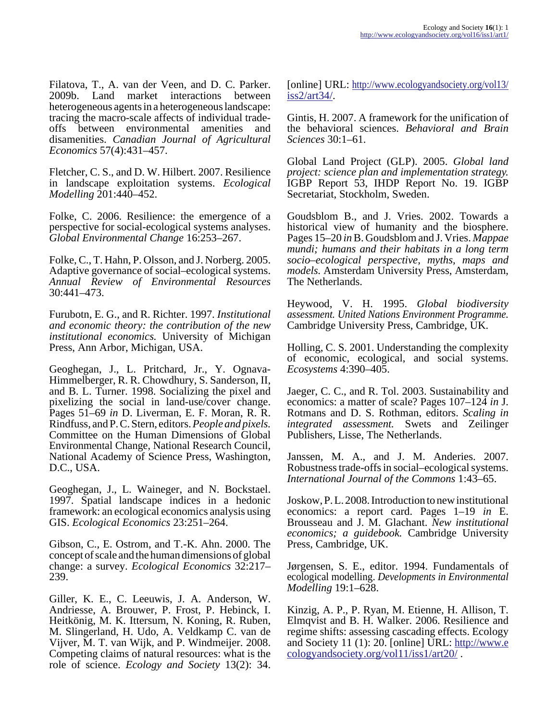Filatova, T., A. van der Veen, and D. C. Parker. 2009b. Land market interactions between heterogeneous agents in a heterogeneous landscape: tracing the macro-scale affects of individual tradeoffs between environmental amenities and disamenities. *Canadian Journal of Agricultural Economics* 57(4):431–457.

Fletcher, C. S., and D. W. Hilbert. 2007. Resilience in landscape exploitation systems. *Ecological Modelling* 201:440–452.

Folke, C. 2006. Resilience: the emergence of a perspective for social-ecological systems analyses. *Global Environmental Change* 16:253–267.

Folke, C., T. Hahn, P. Olsson, and J. Norberg. 2005. Adaptive governance of social–ecological systems. *Annual Review of Environmental Resources* 30:441–473.

Furubotn, E. G., and R. Richter. 1997. *Institutional and economic theory: the contribution of the new institutional economics.* University of Michigan Press, Ann Arbor, Michigan, USA.

Geoghegan, J., L. Pritchard, Jr., Y. Ognava-Himmelberger, R. R. Chowdhury, S. Sanderson, II, and B. L. Turner. 1998. Socializing the pixel and pixelizing the social in land-use/cover change. Pages 51–69 *in* D. Liverman, E. F. Moran, R. R. Rindfuss, and P. C. Stern, editors. *People and pixels.* Committee on the Human Dimensions of Global Environmental Change, National Research Council, National Academy of Science Press, Washington, D.C., USA.

Geoghegan, J., L. Waineger, and N. Bockstael. 1997. Spatial landscape indices in a hedonic framework: an ecological economics analysis using GIS. *Ecological Economics* 23:251–264.

Gibson, C., E. Ostrom, and T.-K. Ahn. 2000. The concept of scale and the human dimensions of global change: a survey. *Ecological Economics* 32:217– 239.

Giller, K. E., C. Leeuwis, J. A. Anderson, W. Andriesse, A. Brouwer, P. Frost, P. Hebinck, I. Heitkönig, M. K. Ittersum, N. Koning, R. Ruben, M. Slingerland, H. Udo, A. Veldkamp C. van de Vijver, M. T. van Wijk, and P. Windmeijer. 2008. Competing claims of natural resources: what is the role of science. *Ecology and Society* 13(2): 34.

[online] URL: [http://www.ecologyandsociety.org/vol13/](http://www.ecologyandsociety.org/vol13/iss2/art34/) [iss2/art34/](http://www.ecologyandsociety.org/vol13/iss2/art34/).

Gintis, H. 2007. A framework for the unification of the behavioral sciences. *Behavioral and Brain Sciences* 30:1–61.

Global Land Project (GLP). 2005. *Global land project: science plan and implementation strategy.* IGBP Report 53, IHDP Report No. 19. IGBP Secretariat, Stockholm, Sweden.

Goudsblom B., and J. Vries. 2002. Towards a historical view of humanity and the biosphere. Pages 15–20 *in* B. Goudsblom and J. Vries. *Mappae mundi; humans and their habitats in a long term socio–ecological perspective, myths, maps and models.* Amsterdam University Press, Amsterdam, The Netherlands.

Heywood, V. H. 1995. *Global biodiversity assessment. United Nations Environment Programme.* Cambridge University Press, Cambridge, UK.

Holling, C. S. 2001. Understanding the complexity of economic, ecological, and social systems. *Ecosystems* 4:390–405.

Jaeger, C. C., and R. Tol. 2003. Sustainability and economics: a matter of scale? Pages 107–124 *in* J. Rotmans and D. S. Rothman, editors. *Scaling in integrated assessment.* Swets and Zeilinger Publishers, Lisse, The Netherlands.

Janssen, M. A., and J. M. Anderies. 2007. Robustness trade-offs in social–ecological systems. *International Journal of the Commons* 1:43–65.

Joskow, P. L. 2008. Introduction to new institutional economics: a report card. Pages 1–19 *in* E. Brousseau and J. M. Glachant. *New institutional economics; a guidebook.* Cambridge University Press, Cambridge, UK.

Jørgensen, S. E., editor. 1994. Fundamentals of ecological modelling. *Developments in Environmental Modelling* 19:1–628.

Kinzig, A. P., P. Ryan, M. Etienne, H. Allison, T. Elmqvist and B. H. Walker. 2006. Resilience and regime shifts: assessing cascading effects. Ecology and Society 11 (1): 20. [online] URL:  $\frac{http://www.e.}{http://www.e.}$  $\frac{http://www.e.}{http://www.e.}$  $\frac{http://www.e.}{http://www.e.}$ [cologyandsociety.org/vol11/iss1/art20/](http://www.ecologyandsociety.org/vol11/iss1/art20/) .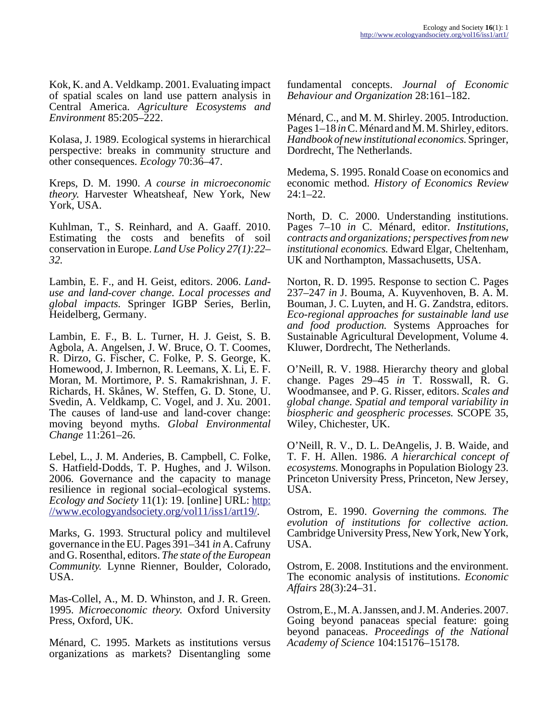Kok, K. and A. Veldkamp. 2001. Evaluating impact of spatial scales on land use pattern analysis in Central America. *Agriculture Ecosystems and Environment* 85:205–222.

Kolasa, J. 1989. Ecological systems in hierarchical perspective: breaks in community structure and other consequences. *Ecology* 70:36–47.

Kreps, D. M. 1990. *A course in microeconomic theory.* Harvester Wheatsheaf, New York, New York, USA.

Kuhlman, T., S. Reinhard, and A. Gaaff. 2010. Estimating the costs and benefits of soil conservation in Europe. *Land Use Policy 27(1):22– 32.*

Lambin, E. F., and H. Geist, editors. 2006. *Landuse and land-cover change. Local processes and global impacts.* Springer IGBP Series, Berlin, Heidelberg, Germany.

Lambin, E. F., B. L. Turner, H. J. Geist, S. B. Agbola, A. Angelsen, J. W. Bruce, O. T. Coomes, R. Dirzo, G. Fischer, C. Folke, P. S. George, K. Homewood, J. Imbernon, R. Leemans, X. Li, E. F. Moran, M. Mortimore, P. S. Ramakrishnan, J. F. Richards, H. Skånes, W. Steffen, G. D. Stone, U. Svedin, A. Veldkamp, C. Vogel, and J. Xu. 2001. The causes of land-use and land-cover change: moving beyond myths. *Global Environmental Change* 11:261–26.

Lebel, L., J. M. Anderies, B. Campbell, C. Folke, S. Hatfield-Dodds, T. P. Hughes, and J. Wilson. 2006. Governance and the capacity to manage resilience in regional social–ecological systems. *Ecology and Society* 11(1): 19. [online] URL: [http:](http://www.ecologyandsociety.org/vol11/iss1/art19/) [//www.ecologyandsociety.org/vol11/iss1/art19/.](http://www.ecologyandsociety.org/vol11/iss1/art19/)

Marks, G. 1993. Structural policy and multilevel governance in the EU. Pages 391–341 *in* A. Cafruny and G. Rosenthal, editors. *The state of the European Community.* Lynne Rienner, Boulder, Colorado, USA.

Mas-Collel, A., M. D. Whinston, and J. R. Green. 1995. *Microeconomic theory.* Oxford University Press, Oxford, UK.

Ménard, C. 1995. Markets as institutions versus organizations as markets? Disentangling some fundamental concepts. *Journal of Economic Behaviour and Organization* 28:161–182.

Ménard, C., and M. M. Shirley. 2005. Introduction. Pages 1–18 *in* C. Ménard and M. M. Shirley, editors. *Handbook of new institutional economics.* Springer, Dordrecht, The Netherlands.

Medema, S. 1995. Ronald Coase on economics and economic method. *History of Economics Review* 24:1–22.

North, D. C. 2000. Understanding institutions. Pages 7–10 *in* C. Ménard, editor. *Institutions, contracts and organizations; perspectives from new institutional economics.* Edward Elgar, Cheltenham, UK and Northampton, Massachusetts, USA.

Norton, R. D. 1995. Response to section C. Pages 237–247 *in* J. Bouma, A. Kuyvenhoven, B. A. M. Bouman, J. C. Luyten, and H. G. Zandstra, editors. *Eco-regional approaches for sustainable land use and food production.* Systems Approaches for Sustainable Agricultural Development, Volume 4. Kluwer, Dordrecht, The Netherlands.

O'Neill, R. V. 1988. Hierarchy theory and global change. Pages 29–45 *in* T. Rosswall, R. G. Woodmansee, and P. G. Risser, editors. *Scales and global change. Spatial and temporal variability in biospheric and geospheric processes.* SCOPE 35, Wiley, Chichester, UK.

O'Neill, R. V., D. L. DeAngelis, J. B. Waide, and T. F. H. Allen. 1986. *A hierarchical concept of ecosystems.* Monographs in Population Biology 23. Princeton University Press, Princeton, New Jersey, USA.

Ostrom, E. 1990. *Governing the commons. The evolution of institutions for collective action.* Cambridge University Press, New York, New York, USA.

Ostrom, E. 2008. Institutions and the environment. The economic analysis of institutions. *Economic Affairs* 28(3):24–31.

Ostrom, E., M. A. Janssen, and J. M. Anderies. 2007. Going beyond panaceas special feature: going beyond panaceas. *Proceedings of the National Academy of Science* 104:15176–15178.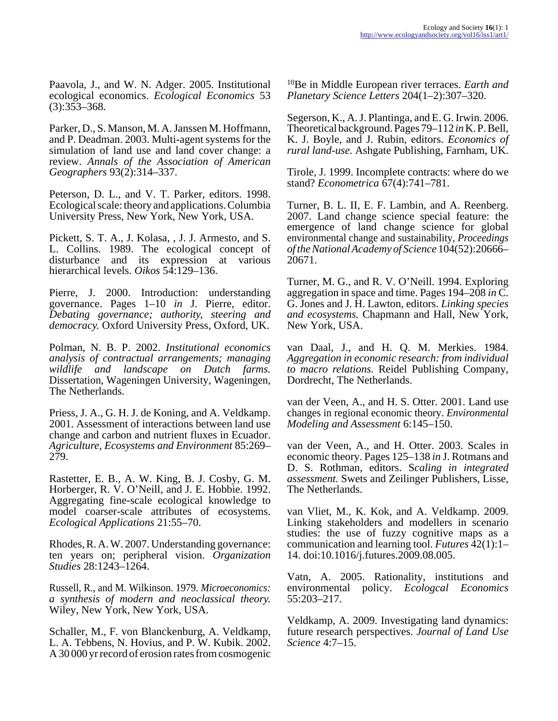Paavola, J., and W. N. Adger. 2005. Institutional ecological economics. *Ecological Economics* 53 (3):353–368.

Parker, D., S. Manson, M. A. Janssen M. Hoffmann, and P. Deadman. 2003. Multi-agent systems for the simulation of land use and land cover change: a review. *Annals of the Association of American Geographers* 93(2):314–337.

Peterson, D. L., and V. T. Parker, editors. 1998. Ecological scale: theory and applications. Columbia University Press, New York, New York, USA.

Pickett, S. T. A., J. Kolasa, , J. J. Armesto, and S. L. Collins. 1989. The ecological concept of disturbance and its expression at various hierarchical levels. *Oikos* 54:129–136.

Pierre, J. 2000. Introduction: understanding governance. Pages 1–10 *in* J. Pierre, editor. *Debating governance; authority, steering and democracy.* Oxford University Press, Oxford, UK.

Polman, N. B. P. 2002. *Institutional economics analysis of contractual arrangements; managing wildlife and landscape on Dutch farms.* Dissertation, Wageningen University, Wageningen, The Netherlands.

Priess, J. A., G. H. J. de Koning, and A. Veldkamp. 2001. Assessment of interactions between land use change and carbon and nutrient fluxes in Ecuador. *Agriculture, Ecosystems and Environment* 85:269– 279.

Rastetter, E. B., A. W. King, B. J. Cosby, G. M. Horberger, R. V. O'Neill, and J. E. Hobbie. 1992. Aggregating fine-scale ecological knowledge to model coarser-scale attributes of ecosystems. *Ecological Applications* 21:55–70.

Rhodes, R. A. W. 2007. Understanding governance: ten years on; peripheral vision. *Organization Studies* 28:1243–1264.

Russell, R., and M. Wilkinson. 1979. *Microeconomics: a synthesis of modern and neoclassical theory.* Wiley, New York, New York, USA.

Schaller, M., F. von Blanckenburg, A. Veldkamp, L. A. Tebbens, N. Hovius, and P. W. Kubik. 2002. A 30 000 yr record of erosion rates from cosmogenic

<sup>10</sup>Be in Middle European river terraces. *Earth and Planetary Science Letters* 204(1–2):307–320.

Segerson, K., A. J. Plantinga, and E. G. Irwin. 2006. Theoretical background. Pages 79–112 *in* K. P. Bell, K. J. Boyle, and J. Rubin, editors. *Economics of rural land-use.* Ashgate Publishing, Farnham, UK.

Tirole, J. 1999. Incomplete contracts: where do we stand? *Econometrica* 67(4):741–781.

Turner, B. L. II, E. F. Lambin, and A. Reenberg. 2007. Land change science special feature: the emergence of land change science for global environmental change and sustainability, *Proceedings of the National Academy of Science* 104(52):20666– 20671.

Turner, M. G., and R. V. O'Neill. 1994. Exploring aggregation in space and time. Pages 194–208 *in* C. G. Jones and J. H. Lawton, editors. *Linking species and ecosystems.* Chapmann and Hall, New York, New York, USA.

van Daal, J., and H. Q. M. Merkies. 1984. *Aggregation in economic research: from individual to macro relations.* Reidel Publishing Company, Dordrecht, The Netherlands.

van der Veen, A., and H. S. Otter. 2001. Land use changes in regional economic theory. *Environmental Modeling and Assessment* 6:145–150.

van der Veen, A., and H. Otter. 2003. Scales in economic theory. Pages 125–138 *in* J. Rotmans and D. S. Rothman, editors. S*caling in integrated assessment.* Swets and Zeilinger Publishers, Lisse, The Netherlands.

van Vliet, M., K. Kok, and A. Veldkamp. 2009. Linking stakeholders and modellers in scenario studies: the use of fuzzy cognitive maps as a communication and learning tool. *Futures* 42(1):1– 14. doi:10.1016/j.futures.2009.08.005.

Vatn, A. 2005. Rationality, institutions and environmental policy. *Ecologcal Economics* 55:203–217.

Veldkamp, A. 2009. Investigating land dynamics: future research perspectives. *Journal of Land Use Science* 4:7–15.